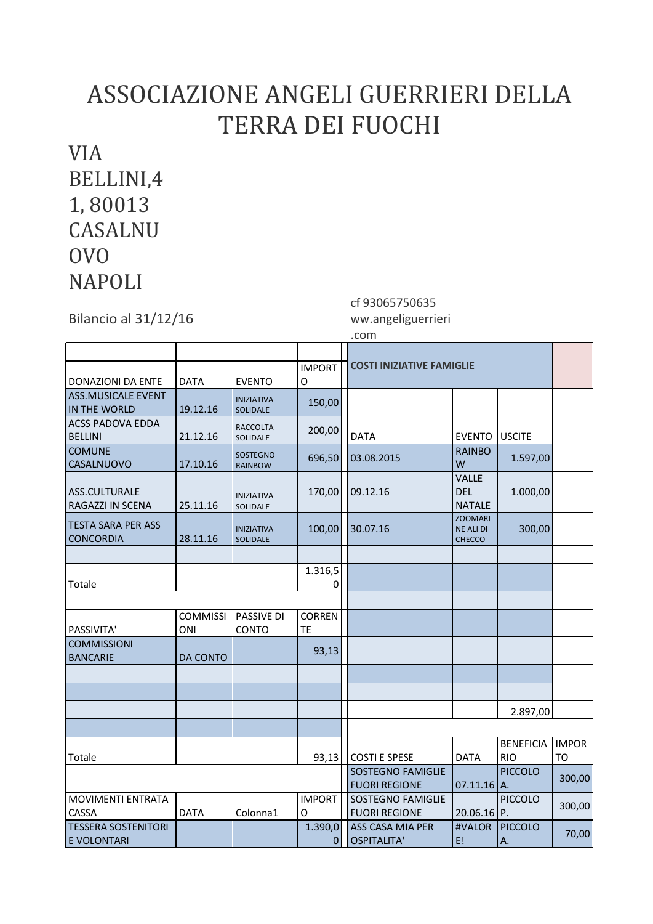## ASSOCIAZIONE ANGELI GUERRIERI DELLA TERRA DEI FUOCHI

## VIA BELLINI,4 1, 80013 CASALNU OVO NAPOLI

Bilancio al 31/12/16

cf 93065750635 ww.angeliguerrieri

|                                           | .com                   |                                   |                            |                                               |                                              |                                |                                |
|-------------------------------------------|------------------------|-----------------------------------|----------------------------|-----------------------------------------------|----------------------------------------------|--------------------------------|--------------------------------|
| DONAZIONI DA ENTE                         | <b>DATA</b>            | <b>EVENTO</b>                     | <b>IMPORT</b><br>O         | <b>COSTI INIZIATIVE FAMIGLIE</b>              |                                              |                                |                                |
| <b>ASS.MUSICALE EVENT</b><br>IN THE WORLD | 19.12.16               | <b>INIZIATIVA</b><br>SOLIDALE     | 150,00                     |                                               |                                              |                                |                                |
| <b>ACSS PADOVA EDDA</b><br><b>BELLINI</b> | 21.12.16               | <b>RACCOLTA</b><br>SOLIDALE       | 200,00                     | <b>DATA</b>                                   | <b>EVENTO</b>                                | <b>USCITE</b>                  |                                |
| <b>COMUNE</b><br>CASALNUOVO               | 17.10.16               | <b>SOSTEGNO</b><br><b>RAINBOW</b> | 696,50                     | 03.08.2015                                    | <b>RAINBO</b><br>W                           | 1.597,00                       |                                |
| ASS.CULTURALE<br>RAGAZZI IN SCENA         | 25.11.16               | <b>INIZIATIVA</b><br>SOLIDALE     | 170,00                     | 09.12.16                                      | <b>VALLE</b><br><b>DEL</b><br><b>NATALE</b>  | 1.000,00                       |                                |
| TESTA SARA PER ASS<br><b>CONCORDIA</b>    | 28.11.16               | <b>INIZIATIVA</b><br>SOLIDALE     | 100,00                     | 30.07.16                                      | <b>ZOOMARI</b><br><b>NE ALI DI</b><br>CHECCO | 300,00                         |                                |
|                                           |                        |                                   |                            |                                               |                                              |                                |                                |
| Totale                                    |                        |                                   | 1.316,5<br>0               |                                               |                                              |                                |                                |
|                                           |                        |                                   |                            |                                               |                                              |                                |                                |
| PASSIVITA'                                | <b>COMMISSI</b><br>ONI | PASSIVE DI<br>CONTO               | <b>CORREN</b><br><b>TE</b> |                                               |                                              |                                |                                |
| <b>COMMISSIONI</b><br><b>BANCARIE</b>     | <b>DA CONTO</b>        |                                   | 93,13                      |                                               |                                              |                                |                                |
|                                           |                        |                                   |                            |                                               |                                              |                                |                                |
|                                           |                        |                                   |                            |                                               |                                              |                                |                                |
|                                           |                        |                                   |                            |                                               |                                              | 2.897,00                       |                                |
|                                           |                        |                                   |                            |                                               |                                              |                                |                                |
| Totale                                    |                        |                                   | 93,13                      | <b>COSTI E SPESE</b>                          | <b>DATA</b>                                  | <b>BENEFICIA</b><br><b>RIO</b> | <b>IMPOR</b><br>T <sub>O</sub> |
|                                           |                        |                                   |                            | SOSTEGNO FAMIGLIE<br><b>FUORI REGIONE</b>     | $07.11.16$ A.                                | <b>PICCOLO</b>                 | 300,00                         |
| <b>MOVIMENTI ENTRATA</b><br>CASSA         | <b>DATA</b>            | Colonna1                          | <b>IMPORT</b><br>O         | SOSTEGNO FAMIGLIE<br><b>FUORI REGIONE</b>     | $20.06.16$ P.                                | <b>PICCOLO</b>                 | 300,00                         |
| TESSERA SOSTENITORI<br>E VOLONTARI        |                        |                                   | 1.390,0<br>0               | <b>ASS CASA MIA PER</b><br><b>OSPITALITA'</b> | #VALOR<br>E!                                 | <b>PICCOLO</b><br>Α.           | 70,00                          |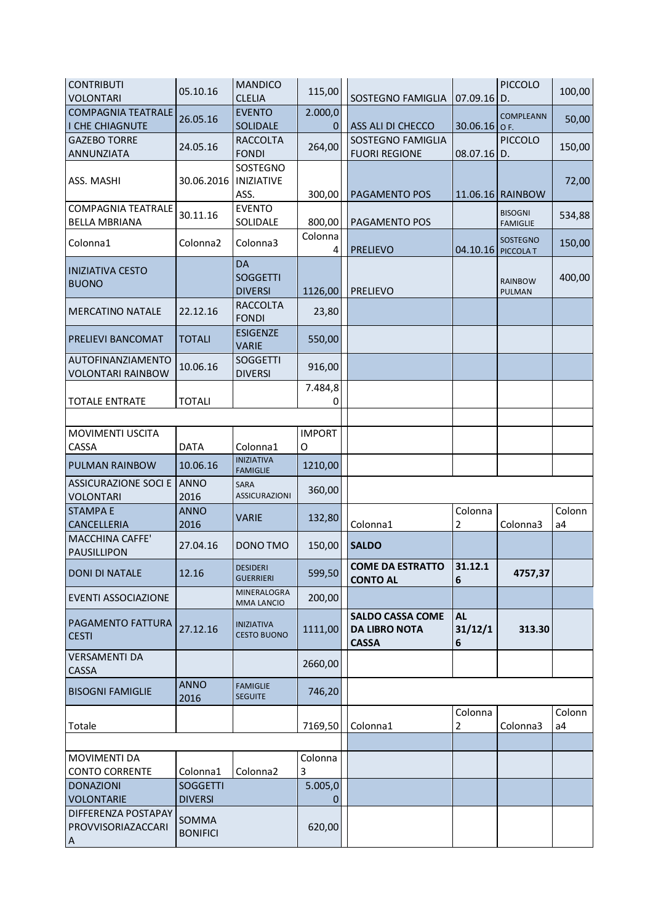| <b>CONTRIBUTI</b><br><b>VOLONTARI</b>             | 05.10.16                          | <b>MANDICO</b><br><b>CLELIA</b>                | 115,00             | SOSTEGNO FAMIGLIA                                               | 07.09.16                   | <b>PICCOLO</b><br>D.              | 100,00                   |
|---------------------------------------------------|-----------------------------------|------------------------------------------------|--------------------|-----------------------------------------------------------------|----------------------------|-----------------------------------|--------------------------|
| <b>COMPAGNIA TEATRALE</b><br>I CHE CHIAGNUTE      | 26.05.16                          | <b>EVENTO</b><br><b>SOLIDALE</b>               | 2.000,0<br>0       | ASS ALI DI CHECCO                                               | $30.06.16$ OF.             | <b>COMPLEANN</b>                  | 50,00                    |
| <b>GAZEBO TORRE</b><br>ANNUNZIATA                 | 24.05.16                          | <b>RACCOLTA</b><br><b>FONDI</b>                | 264,00             | SOSTEGNO FAMIGLIA<br><b>FUORI REGIONE</b>                       | 08.07.16                   | <b>PICCOLO</b><br>D.              | 150,00                   |
| ASS. MASHI                                        | 30.06.2016                        | SOSTEGNO<br><b>INIZIATIVE</b><br>ASS.          | 300,00             | PAGAMENTO POS                                                   |                            | 11.06.16 RAINBOW                  | 72,00                    |
| <b>COMPAGNIA TEATRALE</b><br><b>BELLA MBRIANA</b> | 30.11.16                          | <b>EVENTO</b><br>SOLIDALE                      | 800,00             | PAGAMENTO POS                                                   |                            | <b>BISOGNI</b><br><b>FAMIGLIE</b> | 534,88                   |
| Colonna1                                          | Colonna <sub>2</sub>              | Colonna3                                       | Colonna<br>4       | <b>PRELIEVO</b>                                                 | 04.10.16                   | <b>SOSTEGNO</b><br>PICCOLA T      | 150,00                   |
| <b>INIZIATIVA CESTO</b><br><b>BUONO</b>           |                                   | <b>DA</b><br><b>SOGGETTI</b><br><b>DIVERSI</b> | 1126,00            | <b>PRELIEVO</b>                                                 |                            | <b>RAINBOW</b><br>PULMAN          | 400,00                   |
| <b>MERCATINO NATALE</b>                           | 22.12.16                          | <b>RACCOLTA</b><br><b>FONDI</b>                | 23,80              |                                                                 |                            |                                   |                          |
| PRELIEVI BANCOMAT                                 | <b>TOTALI</b>                     | <b>ESIGENZE</b><br><b>VARIE</b>                | 550,00             |                                                                 |                            |                                   |                          |
| AUTOFINANZIAMENTO<br><b>VOLONTARI RAINBOW</b>     | 10.06.16                          | <b>SOGGETTI</b><br><b>DIVERSI</b>              | 916,00             |                                                                 |                            |                                   |                          |
| <b>TOTALE ENTRATE</b>                             | <b>TOTALI</b>                     |                                                | 7.484,8<br>0       |                                                                 |                            |                                   |                          |
| MOVIMENTI USCITA<br>CASSA                         | <b>DATA</b>                       | Colonna1                                       | <b>IMPORT</b><br>O |                                                                 |                            |                                   |                          |
| PULMAN RAINBOW                                    | 10.06.16                          | <b>INIZIATIVA</b><br><b>FAMIGLIE</b>           | 1210,00            |                                                                 |                            |                                   |                          |
| <b>ASSICURAZIONE SOCI E</b><br><b>VOLONTARI</b>   | <b>ANNO</b><br>2016               | <b>SARA</b><br><b>ASSICURAZIONI</b>            | 360,00             |                                                                 |                            |                                   |                          |
| <b>STAMPAE</b><br>CANCELLERIA                     | <b>ANNO</b><br>2016               | <b>VARIE</b>                                   | 132,80             | Colonna1                                                        | Colonna<br>2               | Colonna3                          | Colonn<br>a <sub>4</sub> |
| <b>MACCHINA CAFFE'</b><br>PAUSILLIPON             | 27.04.16                          | DONO TMO                                       | 150,00             | <b>SALDO</b>                                                    |                            |                                   |                          |
| DONI DI NATALE                                    | 12.16                             | <b>DESIDERI</b><br><b>GUERRIERI</b>            | 599,50             | <b>COME DA ESTRATTO</b><br><b>CONTO AL</b>                      | 31.12.1<br>$6\phantom{1}6$ | 4757,37                           |                          |
| <b>EVENTI ASSOCIAZIONE</b>                        |                                   | MINERALOGRA<br><b>MMA LANCIO</b>               | 200,00             |                                                                 |                            |                                   |                          |
| PAGAMENTO FATTURA<br><b>CESTI</b>                 | 27.12.16                          | <b>INIZIATIVA</b><br><b>CESTO BUONO</b>        | 1111,00            | <b>SALDO CASSA COME</b><br><b>DA LIBRO NOTA</b><br><b>CASSA</b> | <b>AL</b><br>31/12/1<br>6  | 313.30                            |                          |
| <b>VERSAMENTI DA</b><br>CASSA                     |                                   |                                                | 2660,00            |                                                                 |                            |                                   |                          |
| <b>BISOGNI FAMIGLIE</b>                           | <b>ANNO</b><br>2016               | <b>FAMIGLIE</b><br><b>SEGUITE</b>              | 746,20             |                                                                 |                            |                                   |                          |
| Totale                                            |                                   |                                                | 7169,50            | Colonna1                                                        | Colonna<br>2               | Colonna3                          | Colonn<br>a <sub>4</sub> |
|                                                   |                                   |                                                |                    |                                                                 |                            |                                   |                          |
| MOVIMENTI DA<br><b>CONTO CORRENTE</b>             | Colonna1                          | Colonna <sub>2</sub>                           | Colonna<br>3       |                                                                 |                            |                                   |                          |
| <b>DONAZIONI</b><br><b>VOLONTARIE</b>             | <b>SOGGETTI</b><br><b>DIVERSI</b> |                                                | 5.005,0<br>0       |                                                                 |                            |                                   |                          |
| DIFFERENZA POSTAPAY<br>PROVVISORIAZACCARI         | SOMMA                             |                                                |                    |                                                                 |                            |                                   |                          |